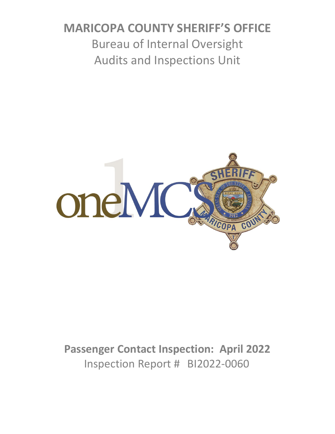# **MARICOPA COUNTY SHERIFF'S OFFICE** Bureau of Internal Oversight Audits and Inspections Unit



**Passenger Contact Inspection: April 2022** Inspection Report # BI2022-0060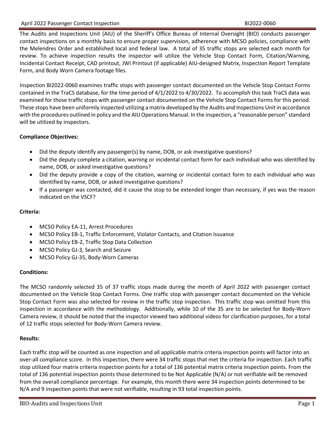The Audits and Inspections Unit (AIU) of the Sheriff's Office Bureau of Internal Oversight (BIO) conducts passenger contact inspections on a monthly basis to ensure proper supervision, adherence with MCSO policies, compliance with the Melendres Order and established local and federal law. A total of 35 traffic stops are selected each month for review. To achieve inspection results the inspector will utilize the Vehicle Stop Contact Form, Citation/Warning, Incidental Contact Receipt, CAD printout, JWI Printout (if applicable) AIU-designed Matrix, Inspection Report Template Form, and Body Worn Camera footage files.

Inspection BI2022-0060 examines traffic stops with passenger contact documented on the Vehicle Stop Contact Forms contained in the TraCS database, for the time period of 4/1/2022 to 4/30/2022. To accomplish this task TraCS data was examined for those traffic stops with passenger contact documented on the Vehicle Stop Contact Forms for this period. These stops have been uniformly inspected utilizing a matrix developed by the Audits and Inspections Unit in accordance with the procedures outlined in policy and the AIU Operations Manual. In the inspection, a "reasonable person" standard will be utilized by inspectors.

### **Compliance Objectives:**

- Did the deputy identify any passenger(s) by name, DOB, or ask investigative questions?
- Did the deputy complete a citation, warning or incidental contact form for each individual who was identified by name, DOB, or asked investigative questions?
- Did the deputy provide a copy of the citation, warning or incidental contact form to each individual who was identified by name, DOB, or asked investigative questions?
- If a passenger was contacted, did it cause the stop to be extended longer than necessary, if yes was the reason indicated on the VSCF?

### **Criteria:**

- MCSO Policy EA-11, Arrest Procedures
- MCSO Policy EB-1, Traffic Enforcement, Violator Contacts, and Citation Issuance
- MCSO Policy EB-2, Traffic Stop Data Collection
- MCSO Policy GJ-3, Search and Seizure
- MCSO Policy GJ-35, Body-Worn Cameras

### **Conditions:**

The MCSO randomly selected 35 of 37 traffic stops made during the month of April 2022 with passenger contact documented on the Vehicle Stop Contact Forms. One traffic stop with passenger contact documented on the Vehicle Stop Contact Form was also selected for review in the traffic stop inspection. This traffic stop was omitted from this inspection in accordance with the methodology. Additionally, while 10 of the 35 are to be selected for Body-Worn Camera review, it should be noted that the inspector viewed two additional videos for clarification purposes, for a total of 12 traffic stops selected for Body-Worn Camera review.

#### **Results:**

Each traffic stop will be counted as one inspection and all applicable matrix criteria inspection points will factor into an over-all compliance score. In this inspection, there were 34 traffic stops that met the criteria for inspection. Each traffic stop utilized four matrix criteria inspection points for a total of 136 potential matrix criteria inspection points. From the total of 136 potential inspection points those determined to be Not Applicable (N/A) or not verifiable will be removed from the overall compliance percentage. For example, this month there were 34 inspection points determined to be N/A and 9 inspection points that were not verifiable, resulting in 93 total inspection points.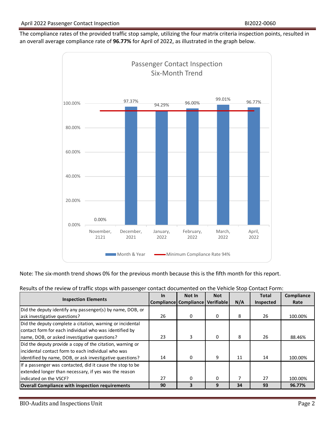The compliance rates of the provided traffic stop sample, utilizing the four matrix criteria inspection points, resulted in an overall average compliance rate of **96.77%** for April of 2022, as illustrated in the graph below.



Note: The six-month trend shows 0% for the previous month because this is the fifth month for this report.

|                                                           | <b>In</b> | Not In                           | <b>Not</b> |     | <b>Total</b> | Compliance |
|-----------------------------------------------------------|-----------|----------------------------------|------------|-----|--------------|------------|
| <b>Inspection Elements</b>                                |           | Compliance Compliance Verifiable |            | N/A | Inspected    | Rate       |
| Did the deputy identify any passenger(s) by name, DOB, or |           |                                  |            |     |              |            |
| ask investigative questions?                              | 26        | 0                                | 0          | 8   | 26           | 100.00%    |
| Did the deputy complete a citation, warning or incidental |           |                                  |            |     |              |            |
| contact form for each individual who was identified by    |           |                                  |            |     |              |            |
| name, DOB, or asked investigative questions?              | 23        | 3                                | 0          | 8   | 26           | 88.46%     |
| Did the deputy provide a copy of the citation, warning or |           |                                  |            |     |              |            |
| incidental contact form to each individual who was        |           |                                  |            |     |              |            |
| identified by name, DOB, or ask investigative questions?  | 14        | 0                                | 9          | 11  | 14           | 100.00%    |
| If a passenger was contacted, did it cause the stop to be |           |                                  |            |     |              |            |
| extended longer than necessary, if yes was the reason     |           |                                  |            |     |              |            |
| indicated on the VSCF?                                    | 27        | $\Omega$                         | $\Omega$   |     | 27           | 100.00%    |
| <b>Overall Compliance with inspection requirements</b>    | 90        | 3                                | 9          | 34  | 93           | 96.77%     |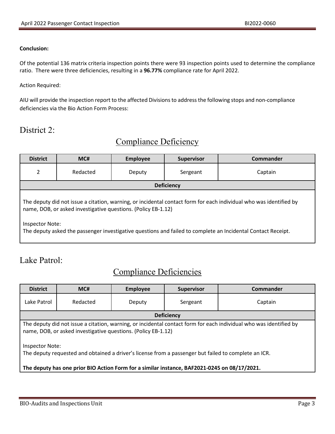#### **Conclusion:**

Of the potential 136 matrix criteria inspection points there were 93 inspection points used to determine the compliance ratio. There were three deficiencies, resulting in a **96.77%** compliance rate for April 2022.

#### Action Required:

AIU will provide the inspection report to the affected Divisions to address the following stops and non-compliance deficiencies via the Bio Action Form Process:

# District 2:

# Compliance Deficiency

| <b>District</b>                                                                                                                                                                     | MC#      | <b>Employee</b> | <b>Supervisor</b> | <b>Commander</b> |  |
|-------------------------------------------------------------------------------------------------------------------------------------------------------------------------------------|----------|-----------------|-------------------|------------------|--|
| 2                                                                                                                                                                                   | Redacted | Deputy          | Sergeant          | Captain          |  |
| <b>Deficiency</b>                                                                                                                                                                   |          |                 |                   |                  |  |
| The deputy did not issue a citation, warning, or incidental contact form for each individual who was identified by<br>name, DOB, or asked investigative questions. (Policy EB-1.12) |          |                 |                   |                  |  |
| Inspector Note:<br>The deputy asked the passenger investigative questions and failed to complete an Incidental Contact Receipt.                                                     |          |                 |                   |                  |  |

### Lake Patrol:

### Compliance Deficiencies

| <b>District</b>                                                                                                                                                                     | MC#      | <b>Employee</b> | <b>Supervisor</b> | <b>Commander</b> |  |
|-------------------------------------------------------------------------------------------------------------------------------------------------------------------------------------|----------|-----------------|-------------------|------------------|--|
| Lake Patrol                                                                                                                                                                         | Redacted | Deputy          | Sergeant          | Captain          |  |
| <b>Deficiency</b>                                                                                                                                                                   |          |                 |                   |                  |  |
| The deputy did not issue a citation, warning, or incidental contact form for each individual who was identified by<br>name, DOB, or asked investigative questions. (Policy EB-1.12) |          |                 |                   |                  |  |
| Inspector Note:<br>The deputy requested and obtained a driver's license from a passenger but failed to complete an ICR.                                                             |          |                 |                   |                  |  |
| The deputy has one prior BIO Action Form for a similar instance, BAF2021-0245 on 08/17/2021.                                                                                        |          |                 |                   |                  |  |